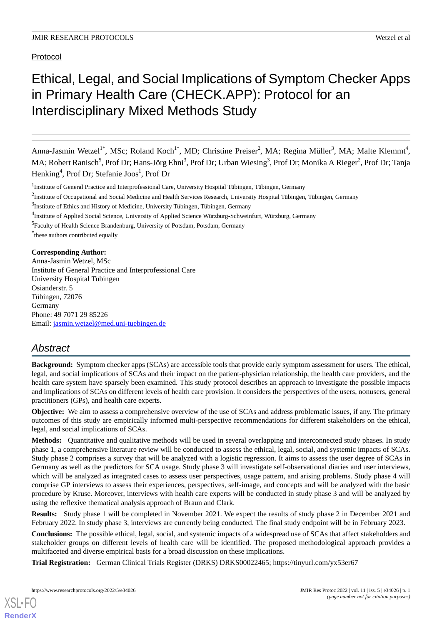Protocol

# Ethical, Legal, and Social Implications of Symptom Checker Apps in Primary Health Care (CHECK.APP): Protocol for an Interdisciplinary Mixed Methods Study

Anna-Jasmin Wetzel<sup>1\*</sup>, MSc; Roland Koch<sup>1\*</sup>, MD; Christine Preiser<sup>2</sup>, MA; Regina Müller<sup>3</sup>, MA; Malte Klemmt<sup>4</sup>, MA; Robert Ranisch<sup>5</sup>, Prof Dr; Hans-Jörg Ehni<sup>3</sup>, Prof Dr; Urban Wiesing<sup>3</sup>, Prof Dr; Monika A Rieger<sup>2</sup>, Prof Dr; Tanja Henking<sup>4</sup>, Prof Dr; Stefanie Joos<sup>1</sup>, Prof Dr

<sup>3</sup>Institute of Ethics and History of Medicine, University Tübingen, Tübingen, Germany

<sup>4</sup>Institute of Applied Social Science, University of Applied Science Würzburg-Schweinfurt, Würzburg, Germany

<sup>5</sup> Faculty of Health Science Brandenburg, University of Potsdam, Potsdam, Germany

\* these authors contributed equally

# **Corresponding Author:**

Anna-Jasmin Wetzel, MSc Institute of General Practice and Interprofessional Care University Hospital Tübingen Osianderstr. 5 Tübingen, 72076 Germany Phone: 49 7071 29 85226 Email: [jasmin.wetzel@med.uni-tuebingen.de](mailto:jasmin.wetzel@med.uni-tuebingen.de)

# *Abstract*

**Background:** Symptom checker apps (SCAs) are accessible tools that provide early symptom assessment for users. The ethical, legal, and social implications of SCAs and their impact on the patient-physician relationship, the health care providers, and the health care system have sparsely been examined. This study protocol describes an approach to investigate the possible impacts and implications of SCAs on different levels of health care provision. It considers the perspectives of the users, nonusers, general practitioners (GPs), and health care experts.

**Objective:** We aim to assess a comprehensive overview of the use of SCAs and address problematic issues, if any. The primary outcomes of this study are empirically informed multi-perspective recommendations for different stakeholders on the ethical, legal, and social implications of SCAs.

**Methods:** Quantitative and qualitative methods will be used in several overlapping and interconnected study phases. In study phase 1, a comprehensive literature review will be conducted to assess the ethical, legal, social, and systemic impacts of SCAs. Study phase 2 comprises a survey that will be analyzed with a logistic regression. It aims to assess the user degree of SCAs in Germany as well as the predictors for SCA usage. Study phase 3 will investigate self-observational diaries and user interviews, which will be analyzed as integrated cases to assess user perspectives, usage pattern, and arising problems. Study phase 4 will comprise GP interviews to assess their experiences, perspectives, self-image, and concepts and will be analyzed with the basic procedure by Kruse. Moreover, interviews with health care experts will be conducted in study phase 3 and will be analyzed by using the reflexive thematical analysis approach of Braun and Clark.

**Results:** Study phase 1 will be completed in November 2021. We expect the results of study phase 2 in December 2021 and February 2022. In study phase 3, interviews are currently being conducted. The final study endpoint will be in February 2023.

**Conclusions:** The possible ethical, legal, social, and systemic impacts of a widespread use of SCAs that affect stakeholders and stakeholder groups on different levels of health care will be identified. The proposed methodological approach provides a multifaceted and diverse empirical basis for a broad discussion on these implications.

**Trial Registration:** German Clinical Trials Register (DRKS) DRKS00022465; https://tinyurl.com/yx53er67

<sup>&</sup>lt;sup>1</sup>Institute of General Practice and Interprofessional Care, University Hospital Tübingen, Tübingen, Germany

 $2$ Institute of Occupational and Social Medicine and Health Services Research, University Hospital Tübingen, Tübingen, Germany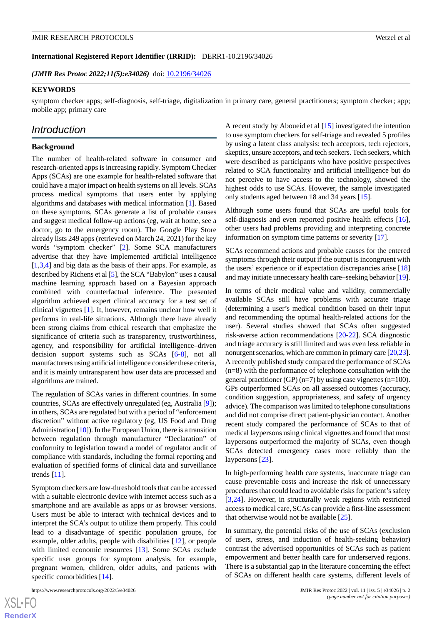(**JMIR Res Protoc 2022;11(5):e34026**) doi: [10.2196/34026](http://dx.doi.org/10.2196/34026)

#### **KEYWORDS**

symptom checker apps; self-diagnosis, self-triage, digitalization in primary care, general practitioners; symptom checker; app; mobile app; primary care

# *Introduction*

#### **Background**

The number of health-related software in consumer and research-oriented apps is increasing rapidly. Symptom Checker Apps (SCAs) are one example for health-related software that could have a major impact on health systems on all levels. SCAs process medical symptoms that users enter by applying algorithms and databases with medical information [[1\]](#page-7-0). Based on these symptoms, SCAs generate a list of probable causes and suggest medical follow-up actions (eg, wait at home, see a doctor, go to the emergency room). The Google Play Store already lists 249 apps (retrieved on March 24, 2021) for the key words "symptom checker" [\[2](#page-7-1)]. Some SCA manufacturers advertise that they have implemented artificial intelligence [[1](#page-7-0)[,3](#page-7-2),[4\]](#page-7-3) and big data as the basis of their apps. For example, as described by Richens et al [\[5](#page-7-4)], the SCA "Babylon" uses a causal machine learning approach based on a Bayesian approach combined with counterfactual inference. The presented algorithm achieved expert clinical accuracy for a test set of clinical vignettes [[1\]](#page-7-0). It, however, remains unclear how well it performs in real-life situations. Although there have already been strong claims from ethical research that emphasize the significance of criteria such as transparency, trustworthiness, agency, and responsibility for artificial intelligence–driven decision support systems such as SCAs [[6](#page-7-5)[-8](#page-8-0)], not all manufacturers using artificial intelligence consider these criteria, and it is mainly untransparent how user data are processed and algorithms are trained.

The regulation of SCAs varies in different countries. In some countries, SCAs are effectively unregulated (eg, Australia [\[9](#page-8-1)]); in others, SCAs are regulated but with a period of "enforcement discretion" without active regulatory (eg, US Food and Drug Administration [[10](#page-8-2)]). In the European Union, there is a transition between regulation through manufacturer "Declaration" of conformity to legislation toward a model of regulator audit of compliance with standards, including the formal reporting and evaluation of specified forms of clinical data and surveillance trends [[11\]](#page-8-3).

Symptom checkers are low-threshold tools that can be accessed with a suitable electronic device with internet access such as a smartphone and are available as apps or as browser versions. Users must be able to interact with technical devices and to interpret the SCA's output to utilize them properly. This could lead to a disadvantage of specific population groups, for example, older adults, people with disabilities [[12\]](#page-8-4), or people with limited economic resources [[13\]](#page-8-5). Some SCAs exclude specific user groups for symptom analysis, for example, pregnant women, children, older adults, and patients with specific comorbidities [[14\]](#page-8-6).

 $XSI - F($ **[RenderX](http://www.renderx.com/)** A recent study by Aboueid et al [\[15](#page-8-7)] investigated the intention to use symptom checkers for self-triage and revealed 5 profiles by using a latent class analysis: tech acceptors, tech rejectors, skeptics, unsure acceptors, and tech seekers. Tech seekers, which were described as participants who have positive perspectives related to SCA functionality and artificial intelligence but do not perceive to have access to the technology, showed the highest odds to use SCAs. However, the sample investigated only students aged between 18 and 34 years [\[15](#page-8-7)].

Although some users found that SCAs are useful tools for self-diagnosis and even reported positive health effects [[16\]](#page-8-8), other users had problems providing and interpreting concrete information on symptom time patterns or severity [[17\]](#page-8-9).

SCAs recommend actions and probable causes for the entered symptoms through their output if the output is incongruent with the users' experience or if expectation discrepancies arise [\[18](#page-8-10)] and may initiate unnecessary health care–seeking behavior [\[19](#page-8-11)].

In terms of their medical value and validity, commercially available SCAs still have problems with accurate triage (determining a user's medical condition based on their input and recommending the optimal health-related actions for the user). Several studies showed that SCAs often suggested risk-averse action recommendations [\[20](#page-8-12)-[22\]](#page-8-13). SCA diagnostic and triage accuracy is still limited and was even less reliable in nonurgent scenarios, which are common in primary care [\[20](#page-8-12)[,23](#page-8-14)]. A recently published study compared the performance of SCAs (n=8) with the performance of telephone consultation with the general practitioner (GP)  $(n=7)$  by using case vignettes  $(n=100)$ . GPs outperformed SCAs on all assessed outcomes (accuracy, condition suggestion, appropriateness, and safety of urgency advice). The comparison was limited to telephone consultations and did not comprise direct patient-physician contact. Another recent study compared the performance of SCAs to that of medical laypersons using clinical vignettes and found that most laypersons outperformed the majority of SCAs, even though SCAs detected emergency cases more reliably than the laypersons [\[23](#page-8-14)].

In high-performing health care systems, inaccurate triage can cause preventable costs and increase the risk of unnecessary procedures that could lead to avoidable risks for patient's safety [[3](#page-7-2)[,24](#page-8-15)]. However, in structurally weak regions with restricted access to medical care, SCAs can provide a first-line assessment that otherwise would not be available [[25\]](#page-8-16).

In summary, the potential risks of the use of SCAs (exclusion of users, stress, and induction of health-seeking behavior) contrast the advertised opportunities of SCAs such as patient empowerment and better health care for underserved regions. There is a substantial gap in the literature concerning the effect of SCAs on different health care systems, different levels of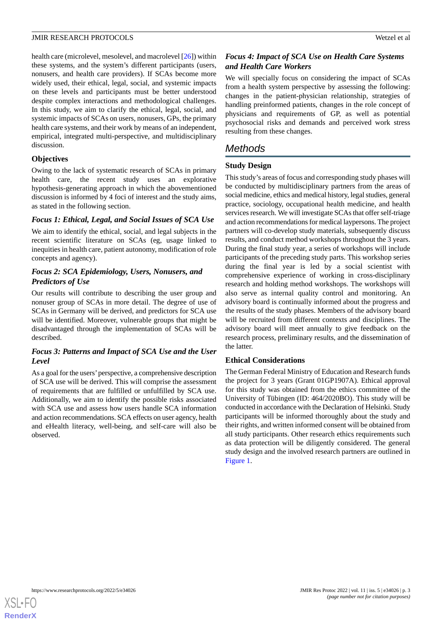health care (microlevel, mesolevel, and macrolevel [[26\]](#page-8-17)) within these systems, and the system's different participants (users, nonusers, and health care providers). If SCAs become more widely used, their ethical, legal, social, and systemic impacts on these levels and participants must be better understood despite complex interactions and methodological challenges. In this study, we aim to clarify the ethical, legal, social, and systemic impacts of SCAs on users, nonusers, GPs, the primary health care systems, and their work by means of an independent, empirical, integrated multi-perspective, and multidisciplinary discussion.

# **Objectives**

Owing to the lack of systematic research of SCAs in primary health care, the recent study uses an explorative hypothesis-generating approach in which the abovementioned discussion is informed by 4 foci of interest and the study aims, as stated in the following section.

# *Focus 1: Ethical, Legal, and Social Issues of SCA Use*

We aim to identify the ethical, social, and legal subjects in the recent scientific literature on SCAs (eg, usage linked to inequities in health care, patient autonomy, modification of role concepts and agency).

# *Focus 2: SCA Epidemiology, Users, Nonusers, and Predictors of Use*

Our results will contribute to describing the user group and nonuser group of SCAs in more detail. The degree of use of SCAs in Germany will be derived, and predictors for SCA use will be identified. Moreover, vulnerable groups that might be disadvantaged through the implementation of SCAs will be described.

# *Focus 3: Patterns and Impact of SCA Use and the User Level*

As a goal for the users'perspective, a comprehensive description of SCA use will be derived. This will comprise the assessment of requirements that are fulfilled or unfulfilled by SCA use. Additionally, we aim to identify the possible risks associated with SCA use and assess how users handle SCA information and action recommendations. SCA effects on user agency, health and eHealth literacy, well-being, and self-care will also be observed.

# *Focus 4: Impact of SCA Use on Health Care Systems and Health Care Workers*

We will specially focus on considering the impact of SCAs from a health system perspective by assessing the following: changes in the patient-physician relationship, strategies of handling preinformed patients, changes in the role concept of physicians and requirements of GP, as well as potential psychosocial risks and demands and perceived work stress resulting from these changes.

# *Methods*

# **Study Design**

This study's areas of focus and corresponding study phases will be conducted by multidisciplinary partners from the areas of social medicine, ethics and medical history, legal studies, general practice, sociology, occupational health medicine, and health services research. We will investigate SCAs that offer self-triage and action recommendations for medical laypersons. The project partners will co-develop study materials, subsequently discuss results, and conduct method workshops throughout the 3 years. During the final study year, a series of workshops will include participants of the preceding study parts. This workshop series during the final year is led by a social scientist with comprehensive experience of working in cross-disciplinary research and holding method workshops. The workshops will also serve as internal quality control and monitoring. An advisory board is continually informed about the progress and the results of the study phases. Members of the advisory board will be recruited from different contexts and disciplines. The advisory board will meet annually to give feedback on the research process, preliminary results, and the dissemination of the latter.

# **Ethical Considerations**

The German Federal Ministry of Education and Research funds the project for 3 years (Grant 01GP1907A). Ethical approval for this study was obtained from the ethics committee of the University of Tübingen (ID: 464/2020BO). This study will be conducted in accordance with the Declaration of Helsinki. Study participants will be informed thoroughly about the study and their rights, and written informed consent will be obtained from all study participants. Other research ethics requirements such as data protection will be diligently considered. The general study design and the involved research partners are outlined in [Figure 1](#page-3-0).

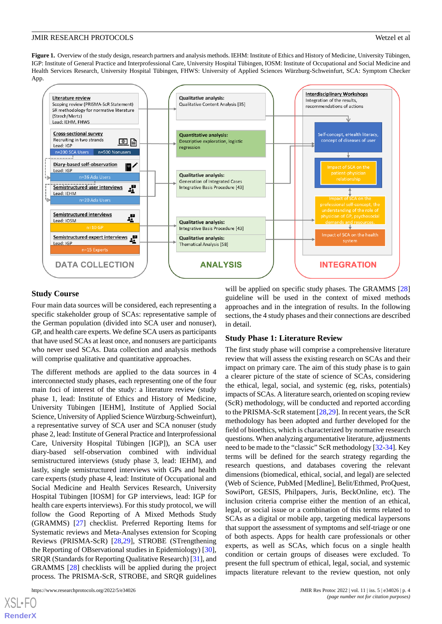<span id="page-3-0"></span>**Figure 1.** Overview of the study design, research partners and analysis methods. IEHM: Institute of Ethics and History of Medicine, University Tübingen, IGP: Institute of General Practice and Interprofessional Care, University Hospital Tübingen, IOSM: Institute of Occupational and Social Medicine and Health Services Research, University Hospital Tübingen, FHWS: University of Applied Sciences Würzburg-Schweinfurt, SCA: Symptom Checker App.



# **Study Course**

Four main data sources will be considered, each representing a specific stakeholder group of SCAs: representative sample of the German population (divided into SCA user and nonuser), GP, and health care experts. We define SCA users as participants that have used SCAs at least once, and nonusers are participants who never used SCAs. Data collection and analysis methods will comprise qualitative and quantitative approaches.

The different methods are applied to the data sources in 4 interconnected study phases, each representing one of the four main foci of interest of the study: a literature review (study phase 1, lead: Institute of Ethics and History of Medicine, University Tübingen [IEHM], Institute of Applied Social Science, University of Applied Science Würzburg-Schweinfurt), a representative survey of SCA user and SCA nonuser (study phase 2, lead: Institute of General Practice and Interprofessional Care, University Hospital Tübingen [IGP]), an SCA user diary-based self-observation combined with individual semistructured interviews (study phase 3, lead: IEHM), and lastly, single semistructured interviews with GPs and health care experts (study phase 4, lead: Institute of Occupational and Social Medicine and Health Services Research, University Hospital Tübingen [IOSM] for GP interviews, lead: IGP for health care experts interviews). For this study protocol, we will follow the Good Reporting of A Mixed Methods Study (GRAMMS) [\[27](#page-8-18)] checklist. Preferred Reporting Items for Systematic reviews and Meta-Analyses extension for Scoping Reviews (PRISMA-ScR) [\[28](#page-8-19),[29\]](#page-8-20), STROBE (STrengthening the Reporting of OBservational studies in Epidemiology) [[30\]](#page-9-0), SRQR (Standards for Reporting Qualitative Research) [[31\]](#page-9-1), and GRAMMS [[28\]](#page-8-19) checklists will be applied during the project process. The PRISMA-ScR, STROBE, and SRQR guidelines

 $XS$  • F( **[RenderX](http://www.renderx.com/)** will be applied on specific study phases. The GRAMMS [\[28](#page-8-19)] guideline will be used in the context of mixed methods approaches and in the integration of results. In the following sections, the 4 study phases and their connections are described in detail.

#### **Study Phase 1: Literature Review**

The first study phase will comprise a comprehensive literature review that will assess the existing research on SCAs and their impact on primary care. The aim of this study phase is to gain a clearer picture of the state of science of SCAs, considering the ethical, legal, social, and systemic (eg, risks, potentials) impacts of SCAs. A literature search, oriented on scoping review (ScR) methodology, will be conducted and reported according to the PRISMA-ScR statement [[28](#page-8-19)[,29](#page-8-20)]. In recent years, the ScR methodology has been adopted and further developed for the field of bioethics, which is characterized by normative research questions. When analyzing argumentative literature, adjustments need to be made to the "classic" ScR methodology [[32-](#page-9-2)[34\]](#page-9-3). Key terms will be defined for the search strategy regarding the research questions, and databases covering the relevant dimensions (biomedical, ethical, social, and legal) are selected (Web of Science, PubMed [Medline], Belit/Ethmed, ProQuest, SowiPort, GESIS, Philpapers, Juris, BeckOnline, etc). The inclusion criteria comprise either the mention of an ethical, legal, or social issue or a combination of this terms related to SCAs as a digital or mobile app, targeting medical laypersons that support the assessment of symptoms and self-triage or one of both aspects. Apps for health care professionals or other experts, as well as SCAs, which focus on a single health condition or certain groups of diseases were excluded. To present the full spectrum of ethical, legal, social, and systemic impacts literature relevant to the review question, not only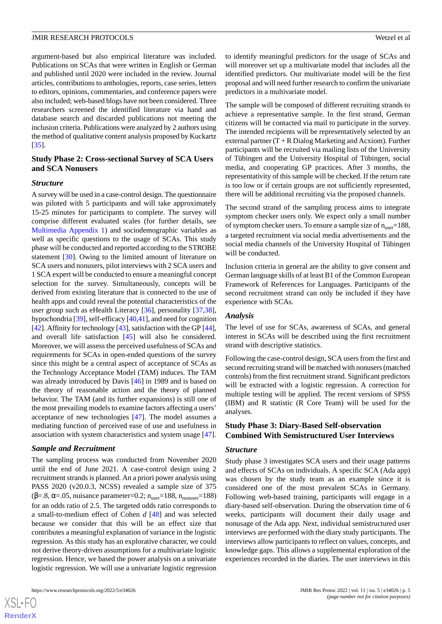argument-based but also empirical literature was included. Publications on SCAs that were written in English or German and published until 2020 were included in the review. Journal articles, contributions to anthologies, reports, case series, letters to editors, opinions, commentaries, and conference papers were also included; web-based blogs have not been considered. Three researchers screened the identified literature via hand and database search and discarded publications not meeting the inclusion criteria. Publications were analyzed by 2 authors using the method of qualitative content analysis proposed by Kuckartz [[35\]](#page-9-4).

# **Study Phase 2: Cross-sectional Survey of SCA Users and SCA Nonusers**

#### *Structure*

A survey will be used in a case-control design. The questionnaire was piloted with 5 participants and will take approximately 15-25 minutes for participants to complete. The survey will comprise different evaluated scales (for further details, see [Multimedia Appendix 1](#page-7-6)) and sociodemographic variables as well as specific questions to the usage of SCAs. This study phase will be conducted and reported according to the STROBE statement [[30\]](#page-9-0). Owing to the limited amount of literature on SCA users and nonusers, pilot interviews with 2 SCA users and 1 SCA expert will be conducted to ensure a meaningful concept selection for the survey. Simultaneously, concepts will be derived from existing literature that is connected to the use of health apps and could reveal the potential characteristics of the user group such as eHealth Literacy [[36\]](#page-9-5), personality [\[37](#page-9-6),[38\]](#page-9-7), hypochondria [\[39](#page-9-8)], self-efficacy [[40](#page-9-9)[,41](#page-9-10)], and need for cognition [[42\]](#page-9-11). Affinity for technology [[43\]](#page-9-12), satisfaction with the GP [\[44\]](#page-9-13), and overall life satisfaction [[45\]](#page-9-14) will also be considered. Moreover, we will assess the perceived usefulness of SCAs and requirements for SCAs in open-ended questions of the survey since this might be a central aspect of acceptance of SCAs as the Technology Acceptance Model (TAM) induces. The TAM was already introduced by Davis [\[46](#page-9-15)] in 1989 and is based on the theory of reasonable action and the theory of planned behavior. The TAM (and its further expansions) is still one of the most prevailing models to examine factors affecting a users' acceptance of new technologies [\[47](#page-9-16)]. The model assumes a mediating function of perceived ease of use and usefulness in association with system characteristics and system usage [[47\]](#page-9-16).

#### *Sample and Recruitment*

The sampling process was conducted from November 2020 until the end of June 2021. A case-control design using 2 recruitment strands is planned. An a priori power analysis using PASS 2020 (v20.0.3, NCSS) revealed a sample size of 375 ( $\beta$ =.8,  $\alpha$ =.05, nuisance parameter=0.2; n<sub>user</sub>=188, n<sub>nonuser</sub>=188) for an odds ratio of 2.5. The targeted odds ratio corresponds to a small-to-medium effect of Cohen *d* [\[48](#page-9-17)] and was selected because we consider that this will be an effect size that contributes a meaningful explanation of variance in the logistic regression. As this study has an explorative character, we could not derive theory-driven assumptions for a multivariate logistic regression. Hence, we based the power analysis on a univariate logistic regression. We will use a univariate logistic regression

 $XS$ -FO **[RenderX](http://www.renderx.com/)** to identify meaningful predictors for the usage of SCAs and will moreover set up a multivariate model that includes all the identified predictors. Our multivariate model will be the first proposal and will need further research to confirm the univariate predictors in a multivariate model.

The sample will be composed of different recruiting strands to achieve a representative sample. In the first strand, German citizens will be contacted via mail to participate in the survey. The intended recipients will be representatively selected by an external partner  $(T + R$  Dialog Marketing and Acxiom). Further participants will be recruited via mailing lists of the University of Tübingen and the University Hospital of Tübingen, social media, and cooperating GP practices. After 3 months, the representativity of this sample will be checked. If the return rate is too low or if certain groups are not sufficiently represented, there will be additional recruiting via the proposed channels.

The second strand of the sampling process aims to integrate symptom checker users only. We expect only a small number of symptom checker users. To ensure a sample size of  $n_{user}=188$ , a targeted recruitment via social media advertisements and the social media channels of the University Hospital of Tübingen will be conducted.

Inclusion criteria in general are the ability to give consent and German language skills of at least B1 of the Common European Framework of References for Languages. Participants of the second recruitment strand can only be included if they have experience with SCAs.

#### *Analysis*

The level of use for SCAs, awareness of SCAs, and general interest in SCAs will be described using the first recruitment strand with descriptive statistics.

Following the case-control design, SCA users from the first and second recruiting strand will be matched with nonusers (matched controls) from the first recruitment strand. Significant predictors will be extracted with a logistic regression. A correction for multiple testing will be applied. The recent versions of SPSS (IBM) and R statistic (R Core Team) will be used for the analyses.

# **Study Phase 3: Diary-Based Self-observation Combined With Semistructured User Interviews**

# *Structure*

Study phase 3 investigates SCA users and their usage patterns and effects of SCAs on individuals. A specific SCA (Ada app) was chosen by the study team as an example since it is considered one of the most prevalent SCAs in Germany. Following web-based training, participants will engage in a diary-based self-observation. During the observation time of 6 weeks, participants will document their daily usage and nonusage of the Ada app. Next, individual semistructured user interviews are performed with the diary study participants. The interviews allow participants to reflect on values, concepts, and knowledge gaps. This allows a supplemental exploration of the experiences recorded in the diaries. The user interviews in this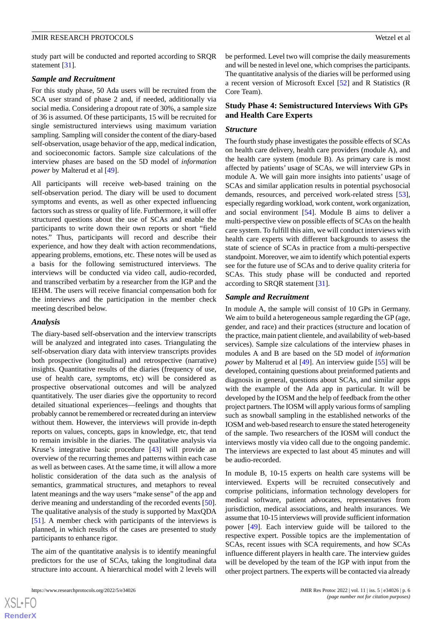study part will be conducted and reported according to SRQR statement [[31\]](#page-9-1).

# *Sample and Recruitment*

For this study phase, 50 Ada users will be recruited from the SCA user strand of phase 2 and, if needed, additionally via social media. Considering a dropout rate of 30%, a sample size of 36 is assumed. Of these participants, 15 will be recruited for single semistructured interviews using maximum variation sampling. Sampling will consider the content of the diary-based self-observation, usage behavior of the app, medical indication, and socioeconomic factors. Sample size calculations of the interview phases are based on the 5D model of *information power* by Malterud et al [\[49](#page-9-18)].

All participants will receive web-based training on the self-observation period. The diary will be used to document symptoms and events, as well as other expected influencing factors such as stress or quality of life. Furthermore, it will offer structured questions about the use of SCAs and enable the participants to write down their own reports or short "field notes." Thus, participants will record and describe their experience, and how they dealt with action recommendations, appearing problems, emotions, etc. These notes will be used as a basis for the following semistructured interviews. The interviews will be conducted via video call, audio-recorded, and transcribed verbatim by a researcher from the IGP and the IEHM. The users will receive financial compensation both for the interviews and the participation in the member check meeting described below.

# *Analysis*

The diary-based self-observation and the interview transcripts will be analyzed and integrated into cases. Triangulating the self-observation diary data with interview transcripts provides both prospective (longitudinal) and retrospective (narrative) insights. Quantitative results of the diaries (frequency of use, use of health care, symptoms, etc) will be considered as prospective observational outcomes and will be analyzed quantitatively. The user diaries give the opportunity to record detailed situational experiences—feelings and thoughts that probably cannot be remembered or recreated during an interview without them. However, the interviews will provide in-depth reports on values, concepts, gaps in knowledge, etc, that tend to remain invisible in the diaries. The qualitative analysis via Kruse's integrative basic procedure [\[43](#page-9-12)] will provide an overview of the recurring themes and patterns within each case as well as between cases. At the same time, it will allow a more holistic consideration of the data such as the analysis of semantics, grammatical structures, and metaphors to reveal latent meanings and the way users "make sense" of the app and derive meaning and understanding of the recorded events [[50\]](#page-9-19). The qualitative analysis of the study is supported by MaxQDA [[51\]](#page-9-20). A member check with participants of the interviews is planned, in which results of the cases are presented to study participants to enhance rigor.

The aim of the quantitative analysis is to identify meaningful predictors for the use of SCAs, taking the longitudinal data structure into account. A hierarchical model with 2 levels will be performed. Level two will comprise the daily measurements and will be nested in level one, which comprises the participants. The quantitative analysis of the diaries will be performed using a recent version of Microsoft Excel [[52\]](#page-9-21) and R Statistics (R Core Team).

# **Study Phase 4: Semistructured Interviews With GPs and Health Care Experts**

#### *Structure*

The fourth study phase investigates the possible effects of SCAs on health care delivery, health care providers (module A), and the health care system (module B). As primary care is most affected by patients' usage of SCAs, we will interview GPs in module A. We will gain more insights into patients' usage of SCAs and similar application results in potential psychosocial demands, resources, and perceived work-related stress [[53\]](#page-9-22), especially regarding workload, work content, work organization, and social environment [\[54](#page-9-23)]. Module B aims to deliver a multi-perspective view on possible effects of SCAs on the health care system. To fulfill this aim, we will conduct interviews with health care experts with different backgrounds to assess the state of science of SCAs in practice from a multi-perspective standpoint. Moreover, we aim to identify which potential experts see for the future use of SCAs and to derive quality criteria for SCAs. This study phase will be conducted and reported according to SRQR statement [[31\]](#page-9-1).

#### *Sample and Recruitment*

In module A, the sample will consist of 10 GPs in Germany. We aim to build a heterogeneous sample regarding the GP (age, gender, and race) and their practices (structure and location of the practice, main patient clientele, and availability of web-based services). Sample size calculations of the interview phases in modules A and B are based on the 5D model of *information power* by Malterud et al [[49\]](#page-9-18). An interview guide [[55\]](#page-9-24) will be developed, containing questions about preinformed patients and diagnosis in general, questions about SCAs, and similar apps with the example of the Ada app in particular. It will be developed by the IOSM and the help of feedback from the other project partners. The IOSM will apply various forms of sampling such as snowball sampling in the established networks of the IOSM and web-based research to ensure the stated heterogeneity of the sample. Two researchers of the IOSM will conduct the interviews mostly via video call due to the ongoing pandemic. The interviews are expected to last about 45 minutes and will be audio-recorded.

In module B, 10-15 experts on health care systems will be interviewed. Experts will be recruited consecutively and comprise politicians, information technology developers for medical software, patient advocates, representatives from jurisdiction, medical associations, and health insurances. We assume that 10-15 interviews will provide sufficient information power [\[49](#page-9-18)]. Each interview guide will be tailored to the respective expert. Possible topics are the implementation of SCAs, recent issues with SCA requirements, and how SCAs influence different players in health care. The interview guides will be developed by the team of the IGP with input from the other project partners. The experts will be contacted via already

 $XS$ -FO **[RenderX](http://www.renderx.com/)**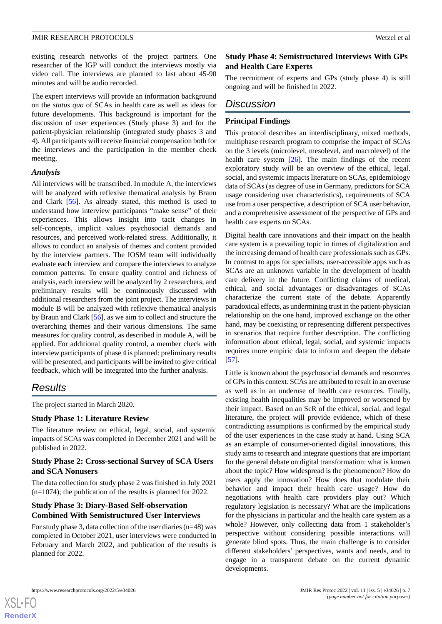existing research networks of the project partners. One researcher of the IGP will conduct the interviews mostly via video call. The interviews are planned to last about 45-90 minutes and will be audio recorded.

The expert interviews will provide an information background on the *status quo* of SCAs in health care as well as ideas for future developments. This background is important for the discussion of user experiences (Study phase 3) and for the patient-physician relationship (integrated study phases 3 and 4). All participants will receive financial compensation both for the interviews and the participation in the member check meeting.

#### *Analysis*

All interviews will be transcribed. In module A, the interviews will be analyzed with reflexive thematical analysis by Braun and Clark [\[56](#page-9-25)]. As already stated, this method is used to understand how interview participants "make sense" of their experiences. This allows insight into tacit changes in self-concepts, implicit values psychosocial demands and resources, and perceived work-related stress. Additionally, it allows to conduct an analysis of themes and content provided by the interview partners. The IOSM team will individually evaluate each interview and compare the interviews to analyze common patterns. To ensure quality control and richness of analysis, each interview will be analyzed by 2 researchers, and preliminary results will be continuously discussed with additional researchers from the joint project. The interviews in module B will be analyzed with reflexive thematical analysis by Braun and Clark [\[56](#page-9-25)], as we aim to collect and structure the overarching themes and their various dimensions. The same measures for quality control, as described in module A, will be applied. For additional quality control, a member check with interview participants of phase 4 is planned: preliminary results will be presented, and participants will be invited to give critical feedback, which will be integrated into the further analysis.

# *Results*

The project started in March 2020.

# **Study Phase 1: Literature Review**

The literature review on ethical, legal, social, and systemic impacts of SCAs was completed in December 2021 and will be published in 2022.

# **Study Phase 2: Cross-sectional Survey of SCA Users and SCA Nonusers**

The data collection for study phase 2 was finished in July 2021  $(n=1074)$ ; the publication of the results is planned for 2022.

# **Study Phase 3: Diary-Based Self-observation Combined With Semistructured User Interviews**

For study phase 3, data collection of the user diaries (n=48) was completed in October 2021, user interviews were conducted in February and March 2022, and publication of the results is planned for 2022.

# **Study Phase 4: Semistructured Interviews With GPs and Health Care Experts**

The recruitment of experts and GPs (study phase 4) is still ongoing and will be finished in 2022.

# *Discussion*

# **Principal Findings**

This protocol describes an interdisciplinary, mixed methods, multiphase research program to comprise the impact of SCAs on the 3 levels (microlevel, mesolevel, and macrolevel) of the health care system  $[26]$  $[26]$ . The main findings of the recent exploratory study will be an overview of the ethical, legal, social, and systemic impacts literature on SCAs, epidemiology data of SCAs (as degree of use in Germany, predictors for SCA usage considering user characteristics), requirements of SCA use from a user perspective, a description of SCA user behavior, and a comprehensive assessment of the perspective of GPs and health care experts on SCAs.

Digital health care innovations and their impact on the health care system is a prevailing topic in times of digitalization and the increasing demand of health care professionals such as GPs. In contrast to apps for specialists, user-accessible apps such as SCAs are an unknown variable in the development of health care delivery in the future. Conflicting claims of medical, ethical, and social advantages or disadvantages of SCAs characterize the current state of the debate. Apparently paradoxical effects, as undermining trust in the patient-physician relationship on the one hand, improved exchange on the other hand, may be coexisting or representing different perspectives in scenarios that require further description. The conflicting information about ethical, legal, social, and systemic impacts requires more empiric data to inform and deepen the debate [[57\]](#page-10-0).

Little is known about the psychosocial demands and resources of GPs in this context. SCAs are attributed to result in an overuse as well as in an underuse of health care resources. Finally, existing health inequalities may be improved or worsened by their impact. Based on an ScR of the ethical, social, and legal literature, the project will provide evidence, which of these contradicting assumptions is confirmed by the empirical study of the user experiences in the case study at hand. Using SCA as an example of consumer-oriented digital innovations, this study aims to research and integrate questions that are important for the general debate on digital transformation: what is known about the topic? How widespread is the phenomenon? How do users apply the innovation? How does that modulate their behavior and impact their health care usage? How do negotiations with health care providers play out? Which regulatory legislation is necessary? What are the implications for the physicians in particular and the health care system as a whole? However, only collecting data from 1 stakeholder's perspective without considering possible interactions will generate blind spots. Thus, the main challenge is to consider different stakeholders' perspectives, wants and needs, and to engage in a transparent debate on the current dynamic developments.



 $XS$ -FO **[RenderX](http://www.renderx.com/)**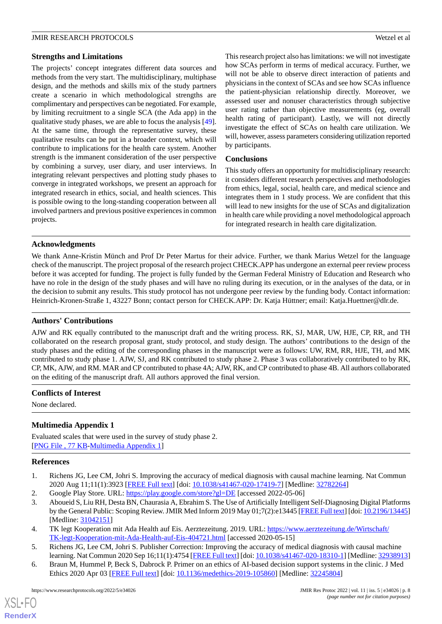#### **Strengths and Limitations**

The projects' concept integrates different data sources and methods from the very start. The multidisciplinary, multiphase design, and the methods and skills mix of the study partners create a scenario in which methodological strengths are complimentary and perspectives can be negotiated. For example, by limiting recruitment to a single SCA (the Ada app) in the qualitative study phases, we are able to focus the analysis [[49\]](#page-9-18). At the same time, through the representative survey, these qualitative results can be put in a broader context, which will contribute to implications for the health care system. Another strength is the immanent consideration of the user perspective by combining a survey, user diary, and user interviews. In integrating relevant perspectives and plotting study phases to converge in integrated workshops, we present an approach for integrated research in ethics, social, and health sciences. This is possible owing to the long-standing cooperation between all involved partners and previous positive experiences in common projects.

This research project also has limitations: we will not investigate how SCAs perform in terms of medical accuracy. Further, we will not be able to observe direct interaction of patients and physicians in the context of SCAs and see how SCAs influence the patient-physician relationship directly. Moreover, we assessed user and nonuser characteristics through subjective user rating rather than objective measurements (eg, overall health rating of participant). Lastly, we will not directly investigate the effect of SCAs on health care utilization. We will, however, assess parameters considering utilization reported by participants.

# **Conclusions**

This study offers an opportunity for multidisciplinary research: it considers different research perspectives and methodologies from ethics, legal, social, health care, and medical science and integrates them in 1 study process. We are confident that this will lead to new insights for the use of SCAs and digitalization in health care while providing a novel methodological approach for integrated research in health care digitalization.

# **Acknowledgments**

We thank Anne-Kristin Münch and Prof Dr Peter Martus for their advice. Further, we thank Marius Wetzel for the language check of the manuscript. The project proposal of the research project CHECK.APP has undergone an external peer review process before it was accepted for funding. The project is fully funded by the German Federal Ministry of Education and Research who have no role in the design of the study phases and will have no ruling during its execution, or in the analyses of the data, or in the decision to submit any results. This study protocol has not undergone peer review by the funding body. Contact information: Heinrich-Kronen-Straße 1, 43227 Bonn; contact person for CHECK.APP: Dr. Katja Hüttner; email: Katja.Huettner@dlr.de.

# **Authors' Contributions**

AJW and RK equally contributed to the manuscript draft and the writing process. RK, SJ, MAR, UW, HJE, CP, RR, and TH collaborated on the research proposal grant, study protocol, and study design. The authors' contributions to the design of the study phases and the editing of the corresponding phases in the manuscript were as follows: UW, RM, RR, HJE, TH, and MK contributed to study phase 1. AJW, SJ, and RK contributed to study phase 2. Phase 3 was collaboratively contributed to by RK, CP, MK, AJW, and RM. MAR and CP contributed to phase 4A; AJW, RK, and CP contributed to phase 4B. All authors collaborated on the editing of the manuscript draft. All authors approved the final version.

# <span id="page-7-6"></span>**Conflicts of Interest**

None declared.

# <span id="page-7-0"></span>**Multimedia Appendix 1**

<span id="page-7-1"></span>Evaluated scales that were used in the survey of study phase 2. [[PNG File , 77 KB-Multimedia Appendix 1](https://jmir.org/api/download?alt_name=resprot_v11i5e34026_app1.png&filename=95a41e7b1da21f492171556bbc61d56b.png)]

# <span id="page-7-2"></span>**References**

- <span id="page-7-3"></span>1. Richens JG, Lee CM, Johri S. Improving the accuracy of medical diagnosis with causal machine learning. Nat Commun 2020 Aug 11;11(1):3923 [[FREE Full text](https://doi.org/10.1038/s41467-020-17419-7)] [doi: [10.1038/s41467-020-17419-7\]](http://dx.doi.org/10.1038/s41467-020-17419-7) [Medline: [32782264](http://www.ncbi.nlm.nih.gov/entrez/query.fcgi?cmd=Retrieve&db=PubMed&list_uids=32782264&dopt=Abstract)]
- <span id="page-7-4"></span>2. Google Play Store. URL:<https://play.google.com/store?gl=DE> [accessed 2022-05-06]
- <span id="page-7-5"></span>3. Aboueid S, Liu RH, Desta BN, Chaurasia A, Ebrahim S. The Use of Artificially Intelligent Self-Diagnosing Digital Platforms by the General Public: Scoping Review. JMIR Med Inform 2019 May 01;7(2):e13445 [\[FREE Full text](https://medinform.jmir.org/2019/2/e13445/)] [doi: [10.2196/13445](http://dx.doi.org/10.2196/13445)] [Medline: [31042151](http://www.ncbi.nlm.nih.gov/entrez/query.fcgi?cmd=Retrieve&db=PubMed&list_uids=31042151&dopt=Abstract)]
- 4. TK legt Kooperation mit Ada Health auf Eis. Aerztezeitung. 2019. URL: [https://www.aerztezeitung.de/Wirtschaft/](https://www.aerztezeitung.de/Wirtschaft/TK-legt-Kooperation-mit-Ada-Health-auf-Eis-404721.html) [TK-legt-Kooperation-mit-Ada-Health-auf-Eis-404721.html](https://www.aerztezeitung.de/Wirtschaft/TK-legt-Kooperation-mit-Ada-Health-auf-Eis-404721.html) [accessed 2020-05-15]
- 5. Richens JG, Lee CM, Johri S. Publisher Correction: Improving the accuracy of medical diagnosis with causal machine learning. Nat Commun 2020 Sep 16;11(1):4754 [[FREE Full text\]](https://doi.org/10.1038/s41467-020-18310-1) [doi: [10.1038/s41467-020-18310-1](http://dx.doi.org/10.1038/s41467-020-18310-1)] [Medline: [32938913\]](http://www.ncbi.nlm.nih.gov/entrez/query.fcgi?cmd=Retrieve&db=PubMed&list_uids=32938913&dopt=Abstract)
- 6. Braun M, Hummel P, Beck S, Dabrock P. Primer on an ethics of AI-based decision support systems in the clinic. J Med Ethics 2020 Apr 03 [\[FREE Full text\]](http://jme.bmj.com/lookup/pmidlookup?view=long&pmid=32245804) [doi: [10.1136/medethics-2019-105860](http://dx.doi.org/10.1136/medethics-2019-105860)] [Medline: [32245804](http://www.ncbi.nlm.nih.gov/entrez/query.fcgi?cmd=Retrieve&db=PubMed&list_uids=32245804&dopt=Abstract)]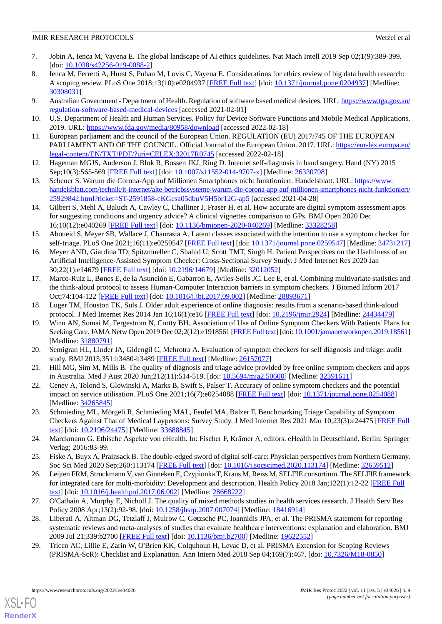- 7. Jobin A, Ienca M, Vayena E. The global landscape of AI ethics guidelines. Nat Mach Intell 2019 Sep 02;1(9):389-399. [doi: [10.1038/s42256-019-0088-2](http://dx.doi.org/10.1038/s42256-019-0088-2)]
- <span id="page-8-0"></span>8. Ienca M, Ferretti A, Hurst S, Puhan M, Lovis C, Vayena E. Considerations for ethics review of big data health research: A scoping review. PLoS One 2018;13(10):e0204937 [\[FREE Full text\]](https://dx.plos.org/10.1371/journal.pone.0204937) [doi: [10.1371/journal.pone.0204937\]](http://dx.doi.org/10.1371/journal.pone.0204937) [Medline: [30308031](http://www.ncbi.nlm.nih.gov/entrez/query.fcgi?cmd=Retrieve&db=PubMed&list_uids=30308031&dopt=Abstract)]
- <span id="page-8-2"></span><span id="page-8-1"></span>9. Australian Government - Department of Health. Regulation of software based medical devices. URL: [https://www.tga.gov.au/](https://www.tga.gov.au/regulation-software-based-medical-devices) [regulation-software-based-medical-devices](https://www.tga.gov.au/regulation-software-based-medical-devices) [accessed 2021-02-01]
- <span id="page-8-3"></span>10. U.S. Department of Health and Human Services. Policy for Device Software Functions and Mobile Medical Applications. 2019. URL: <https://www.fda.gov/media/80958/download> [accessed 2022-02-18]
- <span id="page-8-4"></span>11. European parliament and the council of the European Union. REGULATION (EU) 2017/745 OF THE EUROPEAN PARLIAMENT AND OF THE COUNCIL. Official Journal of the European Union. 2017. URL: [https://eur-lex.europa.eu/](https://eur-lex.europa.eu/legal-content/EN/TXT/PDF/?uri=CELEX:32017R0745) [legal-content/EN/TXT/PDF/?uri=CELEX:32017R0745](https://eur-lex.europa.eu/legal-content/EN/TXT/PDF/?uri=CELEX:32017R0745) [accessed 2022-02-18]
- <span id="page-8-5"></span>12. Hageman MGJS, Anderson J, Blok R, Bossen JKJ, Ring D. Internet self-diagnosis in hand surgery. Hand (NY) 2015 Sep;10(3):565-569 [[FREE Full text](http://europepmc.org/abstract/MED/26330798)] [doi: [10.1007/s11552-014-9707-x\]](http://dx.doi.org/10.1007/s11552-014-9707-x) [Medline: [26330798\]](http://www.ncbi.nlm.nih.gov/entrez/query.fcgi?cmd=Retrieve&db=PubMed&list_uids=26330798&dopt=Abstract)
- <span id="page-8-6"></span>13. Scheuer S. Warum die Corona-App auf Millionen Smartphones nicht funktioniert. Handelsblatt. URL: [https://www.](https://www.handelsblatt.com/technik/it-internet/alte-betriebssysteme-warum-die-corona-app-auf-millionen-smartphones-nicht-funktioniert/25929842.html?ticket=ST-2591858-cKGesa05dbuV5H5br12G-ap5) [handelsblatt.com/technik/it-internet/alte-betriebssysteme-warum-die-corona-app-auf-millionen-smartphones-nicht-funktioniert/](https://www.handelsblatt.com/technik/it-internet/alte-betriebssysteme-warum-die-corona-app-auf-millionen-smartphones-nicht-funktioniert/25929842.html?ticket=ST-2591858-cKGesa05dbuV5H5br12G-ap5) [25929842.html?ticket=ST-2591858-cKGesa05dbuV5H5br12G-ap5](https://www.handelsblatt.com/technik/it-internet/alte-betriebssysteme-warum-die-corona-app-auf-millionen-smartphones-nicht-funktioniert/25929842.html?ticket=ST-2591858-cKGesa05dbuV5H5br12G-ap5) [accessed 2021-04-28]
- <span id="page-8-7"></span>14. Gilbert S, Mehl A, Baluch A, Cawley C, Challiner J, Fraser H, et al. How accurate are digital symptom assessment apps for suggesting conditions and urgency advice? A clinical vignettes comparison to GPs. BMJ Open 2020 Dec 16;10(12):e040269 [\[FREE Full text](https://bmjopen.bmj.com/lookup/pmidlookup?view=long&pmid=33328258)] [doi: [10.1136/bmjopen-2020-040269\]](http://dx.doi.org/10.1136/bmjopen-2020-040269) [Medline: [33328258](http://www.ncbi.nlm.nih.gov/entrez/query.fcgi?cmd=Retrieve&db=PubMed&list_uids=33328258&dopt=Abstract)]
- <span id="page-8-8"></span>15. Aboueid S, Meyer SB, Wallace J, Chaurasia A. Latent classes associated with the intention to use a symptom checker for self-triage. PLoS One 2021;16(11):e0259547 [\[FREE Full text](https://dx.plos.org/10.1371/journal.pone.0259547)] [doi: [10.1371/journal.pone.0259547](http://dx.doi.org/10.1371/journal.pone.0259547)] [Medline: [34731217](http://www.ncbi.nlm.nih.gov/entrez/query.fcgi?cmd=Retrieve&db=PubMed&list_uids=34731217&dopt=Abstract)]
- <span id="page-8-9"></span>16. Meyer AND, Giardina TD, Spitzmueller C, Shahid U, Scott TMT, Singh H. Patient Perspectives on the Usefulness of an Artificial Intelligence-Assisted Symptom Checker: Cross-Sectional Survey Study. J Med Internet Res 2020 Jan 30;22(1):e14679 [\[FREE Full text](https://www.jmir.org/2020/1/e14679/)] [doi: [10.2196/14679\]](http://dx.doi.org/10.2196/14679) [Medline: [32012052\]](http://www.ncbi.nlm.nih.gov/entrez/query.fcgi?cmd=Retrieve&db=PubMed&list_uids=32012052&dopt=Abstract)
- <span id="page-8-11"></span><span id="page-8-10"></span>17. Marco-Ruiz L, Bønes E, de la Asunción E, Gabarron E, Aviles-Solis JC, Lee E, et al. Combining multivariate statistics and the think-aloud protocol to assess Human-Computer Interaction barriers in symptom checkers. J Biomed Inform 2017 Oct;74:104-122 [[FREE Full text](https://linkinghub.elsevier.com/retrieve/pii/S1532-0464(17)30199-5)] [doi: [10.1016/j.jbi.2017.09.002\]](http://dx.doi.org/10.1016/j.jbi.2017.09.002) [Medline: [28893671\]](http://www.ncbi.nlm.nih.gov/entrez/query.fcgi?cmd=Retrieve&db=PubMed&list_uids=28893671&dopt=Abstract)
- 18. Luger TM, Houston TK, Suls J. Older adult experience of online diagnosis: results from a scenario-based think-aloud protocol. J Med Internet Res 2014 Jan 16;16(1):e16 [[FREE Full text](https://www.jmir.org/2014/1/e16/)] [doi: [10.2196/jmir.2924](http://dx.doi.org/10.2196/jmir.2924)] [Medline: [24434479](http://www.ncbi.nlm.nih.gov/entrez/query.fcgi?cmd=Retrieve&db=PubMed&list_uids=24434479&dopt=Abstract)]
- <span id="page-8-12"></span>19. Winn AN, Somai M, Fergestrom N, Crotty BH. Association of Use of Online Symptom Checkers With Patients' Plans for Seeking Care. JAMA Netw Open 2019 Dec 02;2(12):e1918561 [\[FREE Full text](https://jamanetwork.com/journals/jamanetworkopen/fullarticle/10.1001/jamanetworkopen.2019.18561)] [doi: [10.1001/jamanetworkopen.2019.18561\]](http://dx.doi.org/10.1001/jamanetworkopen.2019.18561) [Medline: [31880791](http://www.ncbi.nlm.nih.gov/entrez/query.fcgi?cmd=Retrieve&db=PubMed&list_uids=31880791&dopt=Abstract)]
- <span id="page-8-13"></span>20. Semigran HL, Linder JA, Gidengil C, Mehrotra A. Evaluation of symptom checkers for self diagnosis and triage: audit study. BMJ 2015;351:h3480-h3489 [\[FREE Full text\]](http://www.bmj.com/cgi/pmidlookup?view=long&pmid=26157077) [Medline: [26157077](http://www.ncbi.nlm.nih.gov/entrez/query.fcgi?cmd=Retrieve&db=PubMed&list_uids=26157077&dopt=Abstract)]
- <span id="page-8-14"></span>21. Hill MG, Sim M, Mills B. The quality of diagnosis and triage advice provided by free online symptom checkers and apps in Australia. Med J Aust 2020 Jun;212(11):514-519. [doi: [10.5694/mja2.50600](http://dx.doi.org/10.5694/mja2.50600)] [Medline: [32391611\]](http://www.ncbi.nlm.nih.gov/entrez/query.fcgi?cmd=Retrieve&db=PubMed&list_uids=32391611&dopt=Abstract)
- <span id="page-8-15"></span>22. Ceney A, Tolond S, Glowinski A, Marks B, Swift S, Palser T. Accuracy of online symptom checkers and the potential impact on service utilisation. PLoS One 2021;16(7):e0254088 [[FREE Full text](https://dx.plos.org/10.1371/journal.pone.0254088)] [doi: [10.1371/journal.pone.0254088\]](http://dx.doi.org/10.1371/journal.pone.0254088) [Medline: [34265845](http://www.ncbi.nlm.nih.gov/entrez/query.fcgi?cmd=Retrieve&db=PubMed&list_uids=34265845&dopt=Abstract)]
- <span id="page-8-16"></span>23. Schmieding ML, Mörgeli R, Schmieding MAL, Feufel MA, Balzer F. Benchmarking Triage Capability of Symptom Checkers Against That of Medical Laypersons: Survey Study. J Med Internet Res 2021 Mar 10;23(3):e24475 [[FREE Full](https://www.jmir.org/2021/3/e24475/) [text](https://www.jmir.org/2021/3/e24475/)] [doi: [10.2196/24475\]](http://dx.doi.org/10.2196/24475) [Medline: [33688845\]](http://www.ncbi.nlm.nih.gov/entrez/query.fcgi?cmd=Retrieve&db=PubMed&list_uids=33688845&dopt=Abstract)
- <span id="page-8-17"></span>24. Marckmann G. Ethische Aspekte von eHealth. In: Fischer F, Krämer A, editors. eHealth in Deutschland. Berlin: Springer Verlag; 2016:83-99.
- <span id="page-8-18"></span>25. Fiske A, Buyx A, Prainsack B. The double-edged sword of digital self-care: Physician perspectives from Northern Germany. Soc Sci Med 2020 Sep;260:113174 [\[FREE Full text](https://linkinghub.elsevier.com/retrieve/pii/S0277-9536(20)30393-2)] [doi: [10.1016/j.socscimed.2020.113174\]](http://dx.doi.org/10.1016/j.socscimed.2020.113174) [Medline: [32659512\]](http://www.ncbi.nlm.nih.gov/entrez/query.fcgi?cmd=Retrieve&db=PubMed&list_uids=32659512&dopt=Abstract)
- <span id="page-8-19"></span>26. Leijten FRM, Struckmann V, van Ginneken E, Czypionka T, Kraus M, Reiss M, SELFIE consortium. The SELFIE framework for integrated care for multi-morbidity: Development and description. Health Policy 2018 Jan;122(1):12-22 [\[FREE Full](https://linkinghub.elsevier.com/retrieve/pii/S0168-8510(17)30166-5) [text](https://linkinghub.elsevier.com/retrieve/pii/S0168-8510(17)30166-5)] [doi: [10.1016/j.healthpol.2017.06.002\]](http://dx.doi.org/10.1016/j.healthpol.2017.06.002) [Medline: [28668222\]](http://www.ncbi.nlm.nih.gov/entrez/query.fcgi?cmd=Retrieve&db=PubMed&list_uids=28668222&dopt=Abstract)
- <span id="page-8-20"></span>27. O'Cathain A, Murphy E, Nicholl J. The quality of mixed methods studies in health services research. J Health Serv Res Policy 2008 Apr;13(2):92-98. [doi: [10.1258/jhsrp.2007.007074\]](http://dx.doi.org/10.1258/jhsrp.2007.007074) [Medline: [18416914\]](http://www.ncbi.nlm.nih.gov/entrez/query.fcgi?cmd=Retrieve&db=PubMed&list_uids=18416914&dopt=Abstract)
- 28. Liberati A, Altman DG, Tetzlaff J, Mulrow C, Gøtzsche PC, Ioannidis JPA, et al. The PRISMA statement for reporting systematic reviews and meta-analyses of studies that evaluate healthcare interventions: explanation and elaboration. BMJ 2009 Jul 21;339:b2700 [[FREE Full text](http://europepmc.org/abstract/MED/19622552)] [doi: [10.1136/bmj.b2700\]](http://dx.doi.org/10.1136/bmj.b2700) [Medline: [19622552](http://www.ncbi.nlm.nih.gov/entrez/query.fcgi?cmd=Retrieve&db=PubMed&list_uids=19622552&dopt=Abstract)]
- 29. Tricco AC, Lillie E, Zarin W, O'Brien KK, Colquhoun H, Levac D, et al. PRISMA Extension for Scoping Reviews (PRISMA-ScR): Checklist and Explanation. Ann Intern Med 2018 Sep 04;169(7):467. [doi: [10.7326/M18-0850](http://dx.doi.org/10.7326/M18-0850)]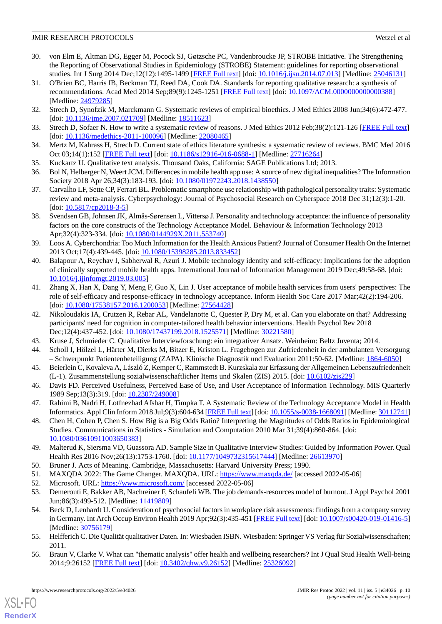- <span id="page-9-0"></span>30. von Elm E, Altman DG, Egger M, Pocock SJ, Gøtzsche PC, Vandenbroucke JP, STROBE Initiative. The Strengthening the Reporting of Observational Studies in Epidemiology (STROBE) Statement: guidelines for reporting observational studies. Int J Surg 2014 Dec;12(12):1495-1499 [\[FREE Full text\]](https://linkinghub.elsevier.com/retrieve/pii/S1743-9191(14)00212-X) [doi: [10.1016/j.ijsu.2014.07.013\]](http://dx.doi.org/10.1016/j.ijsu.2014.07.013) [Medline: [25046131](http://www.ncbi.nlm.nih.gov/entrez/query.fcgi?cmd=Retrieve&db=PubMed&list_uids=25046131&dopt=Abstract)]
- <span id="page-9-1"></span>31. O'Brien BC, Harris IB, Beckman TJ, Reed DA, Cook DA. Standards for reporting qualitative research: a synthesis of recommendations. Acad Med 2014 Sep;89(9):1245-1251 [[FREE Full text](https://journals.lww.com/24979285.pmid)] [doi: 10.1097/ACM.000000000000388] [Medline: [24979285](http://www.ncbi.nlm.nih.gov/entrez/query.fcgi?cmd=Retrieve&db=PubMed&list_uids=24979285&dopt=Abstract)]
- <span id="page-9-2"></span>32. Strech D, Synofzik M, Marckmann G. Systematic reviews of empirical bioethics. J Med Ethics 2008 Jun;34(6):472-477. [doi: [10.1136/jme.2007.021709](http://dx.doi.org/10.1136/jme.2007.021709)] [Medline: [18511623\]](http://www.ncbi.nlm.nih.gov/entrez/query.fcgi?cmd=Retrieve&db=PubMed&list_uids=18511623&dopt=Abstract)
- <span id="page-9-3"></span>33. Strech D, Sofaer N. How to write a systematic review of reasons. J Med Ethics 2012 Feb;38(2):121-126 [[FREE Full text](http://jme.bmj.com/lookup/pmidlookup?view=long&pmid=22080465)] [doi: [10.1136/medethics-2011-100096](http://dx.doi.org/10.1136/medethics-2011-100096)] [Medline: [22080465](http://www.ncbi.nlm.nih.gov/entrez/query.fcgi?cmd=Retrieve&db=PubMed&list_uids=22080465&dopt=Abstract)]
- <span id="page-9-4"></span>34. Mertz M, Kahrass H, Strech D. Current state of ethics literature synthesis: a systematic review of reviews. BMC Med 2016 Oct 03;14(1):152 [[FREE Full text\]](https://bmcmedicine.biomedcentral.com/articles/10.1186/s12916-016-0688-1) [doi: [10.1186/s12916-016-0688-1](http://dx.doi.org/10.1186/s12916-016-0688-1)] [Medline: [27716264](http://www.ncbi.nlm.nih.gov/entrez/query.fcgi?cmd=Retrieve&db=PubMed&list_uids=27716264&dopt=Abstract)]
- <span id="page-9-5"></span>35. Kuckartz U. Qualitative text analysis. Thousand Oaks, California: SAGE Publications Ltd; 2013.
- <span id="page-9-6"></span>36. Bol N, Helberger N, Weert JCM. Differences in mobile health app use: A source of new digital inequalities? The Information Society 2018 Apr 26;34(3):183-193. [doi: [10.1080/01972243.2018.1438550\]](http://dx.doi.org/10.1080/01972243.2018.1438550)
- <span id="page-9-7"></span>37. Carvalho LF, Sette CP, Ferrari BL. Problematic smartphone use relationship with pathological personality traits: Systematic review and meta-analysis. Cyberpsychology: Journal of Psychosocial Research on Cyberspace 2018 Dec 31;12(3):1-20. [doi: [10.5817/cp2018-3-5](http://dx.doi.org/10.5817/cp2018-3-5)]
- <span id="page-9-8"></span>38. Svendsen GB, Johnsen JK, Almås-Sørensen L, Vittersø J. Personality and technology acceptance: the influence of personality factors on the core constructs of the Technology Acceptance Model. Behaviour & Information Technology 2013 Apr;32(4):323-334. [doi: [10.1080/0144929X.2011.553740\]](http://dx.doi.org/10.1080/0144929X.2011.553740)
- <span id="page-9-9"></span>39. Loos A. Cyberchondria: Too Much Information for the Health Anxious Patient? Journal of Consumer Health On the Internet 2013 Oct;17(4):439-445. [doi: [10.1080/15398285.2013.833452\]](http://dx.doi.org/10.1080/15398285.2013.833452)
- <span id="page-9-10"></span>40. Balapour A, Reychav I, Sabherwal R, Azuri J. Mobile technology identity and self-efficacy: Implications for the adoption of clinically supported mobile health apps. International Journal of Information Management 2019 Dec;49:58-68. [doi: [10.1016/j.ijinfomgt.2019.03.005\]](http://dx.doi.org/10.1016/j.ijinfomgt.2019.03.005)
- <span id="page-9-11"></span>41. Zhang X, Han X, Dang Y, Meng F, Guo X, Lin J. User acceptance of mobile health services from users' perspectives: The role of self-efficacy and response-efficacy in technology acceptance. Inform Health Soc Care 2017 Mar;42(2):194-206. [doi: [10.1080/17538157.2016.1200053](http://dx.doi.org/10.1080/17538157.2016.1200053)] [Medline: [27564428\]](http://www.ncbi.nlm.nih.gov/entrez/query.fcgi?cmd=Retrieve&db=PubMed&list_uids=27564428&dopt=Abstract)
- <span id="page-9-13"></span><span id="page-9-12"></span>42. Nikoloudakis IA, Crutzen R, Rebar AL, Vandelanotte C, Quester P, Dry M, et al. Can you elaborate on that? Addressing participants' need for cognition in computer-tailored health behavior interventions. Health Psychol Rev 2018 Dec;12(4):437-452. [doi: [10.1080/17437199.2018.1525571\]](http://dx.doi.org/10.1080/17437199.2018.1525571) [Medline: [30221580\]](http://www.ncbi.nlm.nih.gov/entrez/query.fcgi?cmd=Retrieve&db=PubMed&list_uids=30221580&dopt=Abstract)
- <span id="page-9-14"></span>43. Kruse J, Schmieder C. Qualitative Interviewforschung: ein integrativer Ansatz. Weinheim: Beltz Juventa; 2014.
- <span id="page-9-15"></span>44. Scholl I, Hölzel L, Härter M, Dierks M, Bitzer E, Kriston L. Fragebogen zur Zufriedenheit in der ambulanten Versorgung – Schwerpunkt Patientenbeteiligung (ZAPA). Klinische Diagnostik und Evaluation 2011:50-62. [Medline: [1864-6050](http://www.ncbi.nlm.nih.gov/entrez/query.fcgi?cmd=Retrieve&db=PubMed&list_uids=1864-6050&dopt=Abstract)]
- <span id="page-9-16"></span>45. Beierlein C, Kovaleva A, László Z, Kemper C, Rammstedt B. Kurzskala zur Erfassung der Allgemeinen Lebenszufriedenheit (L-1). Zusammenstellung sozialwissenschaftlicher Items und Skalen (ZIS) 2015. [doi: [10.6102/zis229\]](http://dx.doi.org/10.6102/zis229)
- <span id="page-9-17"></span>46. Davis FD. Perceived Usefulness, Perceived Ease of Use, and User Acceptance of Information Technology. MIS Quarterly 1989 Sep;13(3):319. [doi: [10.2307/249008\]](http://dx.doi.org/10.2307/249008)
- <span id="page-9-18"></span>47. Rahimi B, Nadri H, Lotfnezhad Afshar H, Timpka T. A Systematic Review of the Technology Acceptance Model in Health Informatics. Appl Clin Inform 2018 Jul;9(3):604-634 [[FREE Full text](http://europepmc.org/abstract/MED/30112741)] [doi: [10.1055/s-0038-1668091\]](http://dx.doi.org/10.1055/s-0038-1668091) [Medline: [30112741\]](http://www.ncbi.nlm.nih.gov/entrez/query.fcgi?cmd=Retrieve&db=PubMed&list_uids=30112741&dopt=Abstract)
- <span id="page-9-20"></span><span id="page-9-19"></span>48. Chen H, Cohen P, Chen S. How Big is a Big Odds Ratio? Interpreting the Magnitudes of Odds Ratios in Epidemiological Studies. Communications in Statistics - Simulation and Computation 2010 Mar 31;39(4):860-864. [doi: [10.1080/03610911003650383\]](http://dx.doi.org/10.1080/03610911003650383)
- <span id="page-9-22"></span><span id="page-9-21"></span>49. Malterud K, Siersma VD, Guassora AD. Sample Size in Qualitative Interview Studies: Guided by Information Power. Qual Health Res 2016 Nov;26(13):1753-1760. [doi: [10.1177/1049732315617444\]](http://dx.doi.org/10.1177/1049732315617444) [Medline: [26613970\]](http://www.ncbi.nlm.nih.gov/entrez/query.fcgi?cmd=Retrieve&db=PubMed&list_uids=26613970&dopt=Abstract)
- <span id="page-9-23"></span>50. Bruner J. Acts of Meaning. Cambridge, Massachusetts: Harvard University Press; 1990.
- 51. MAXQDA 2022: The Game Changer. MAXQDA. URL:<https://www.maxqda.de/> [accessed 2022-05-06]
- <span id="page-9-24"></span>52. Microsoft. URL:<https://www.microsoft.com/> [accessed 2022-05-06]
- <span id="page-9-25"></span>53. Demerouti E, Bakker AB, Nachreiner F, Schaufeli WB. The job demands-resources model of burnout. J Appl Psychol 2001 Jun;86(3):499-512. [Medline: [11419809\]](http://www.ncbi.nlm.nih.gov/entrez/query.fcgi?cmd=Retrieve&db=PubMed&list_uids=11419809&dopt=Abstract)
- 54. Beck D, Lenhardt U. Consideration of psychosocial factors in workplace risk assessments: findings from a company survey in Germany. Int Arch Occup Environ Health 2019 Apr;92(3):435-451 [\[FREE Full text](http://europepmc.org/abstract/MED/30756179)] [doi: [10.1007/s00420-019-01416-5](http://dx.doi.org/10.1007/s00420-019-01416-5)] [Medline: [30756179](http://www.ncbi.nlm.nih.gov/entrez/query.fcgi?cmd=Retrieve&db=PubMed&list_uids=30756179&dopt=Abstract)]
- 55. Helfferich C. Die Qualität qualitativer Daten. In: Wiesbaden ISBN. Wiesbaden: Springer VS Verlag für Sozialwissenschaften; 2011.
- 56. Braun V, Clarke V. What can "thematic analysis" offer health and wellbeing researchers? Int J Qual Stud Health Well-being 2014;9:26152 [[FREE Full text](http://europepmc.org/abstract/MED/25326092)] [doi: [10.3402/qhw.v9.26152](http://dx.doi.org/10.3402/qhw.v9.26152)] [Medline: [25326092](http://www.ncbi.nlm.nih.gov/entrez/query.fcgi?cmd=Retrieve&db=PubMed&list_uids=25326092&dopt=Abstract)]